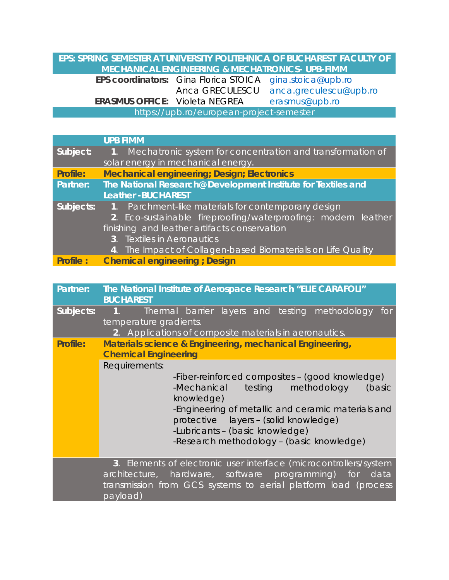## **EPS: SPRING SEMESTER AT UNIVERSITY POLITEHNICA OF BUCHAREST FACULTY OF MECHANICAL ENGINEERING & MECHATRONICS- UPB-FIMM EPS coordinators:** Gina Florica STOICA [gina.stoica@upb.ro](mailto:gina.stoica@upb.ro) Anca GRECULESCU anca.greculescu@upb.ro **ERASMUS OFFICE:** Violeta NEGREA [erasmus@upb.ro](mailto:erasmus@upb.ro) https://upb.ro/european-project-semester

|                 | <b>UPB FIMM</b>                                               |  |  |  |
|-----------------|---------------------------------------------------------------|--|--|--|
| Subject:        | 1. Mechatronic system for concentration and transformation of |  |  |  |
|                 | solar energy in mechanical energy.                            |  |  |  |
| Profile:        | <b>Mechanical engineering; Design; Electronics</b>            |  |  |  |
| Partner:        | The National Research@ Development Institute for Textiles and |  |  |  |
|                 | <b>Leather-BUCHAREST</b>                                      |  |  |  |
| Subjects:       | 1. Parchment-like materials for contemporary design           |  |  |  |
|                 | 2. Eco-sustainable fireproofing/waterproofing: modern leather |  |  |  |
|                 | finishing and leather artifacts conservation                  |  |  |  |
|                 | 3. Textiles in Aeronautics                                    |  |  |  |
|                 | 4. The Impact of Collagen-based Biomaterials on Life Quality  |  |  |  |
| <b>Profile:</b> | <b>Chemical engineering ; Design</b>                          |  |  |  |

| Partner:  | The National Institute of Aerospace Research "ELIE CARAFOLI"<br><b>BUCHAREST</b>                                                                                                                                                                                                             |
|-----------|----------------------------------------------------------------------------------------------------------------------------------------------------------------------------------------------------------------------------------------------------------------------------------------------|
| Subjects: | Thermal barrier layers and testing methodology for<br>- 1. 1<br>temperature gradients.<br>2. Applications of composite materials in aeronautics.                                                                                                                                             |
| Profile:  | Materials science & Engineering, mechanical Engineering,<br><b>Chemical Engineering</b>                                                                                                                                                                                                      |
|           | Requirements:                                                                                                                                                                                                                                                                                |
|           | -Fiber-reinforced composites - (good knowledge)<br>testing methodology<br>-Mechanical<br>(basic<br>knowledge)<br>-Engineering of metallic and ceramic materials and<br>protective layers - (solid knowledge)<br>-Lubricants - (basic knowledge)<br>-Research methodology - (basic knowledge) |
|           | 3. Elements of electronic user interface (microcontrollers/system<br>architecture, hardware, software programming) for data<br>transmission from GCS systems to aerial platform load (process<br>payload)                                                                                    |